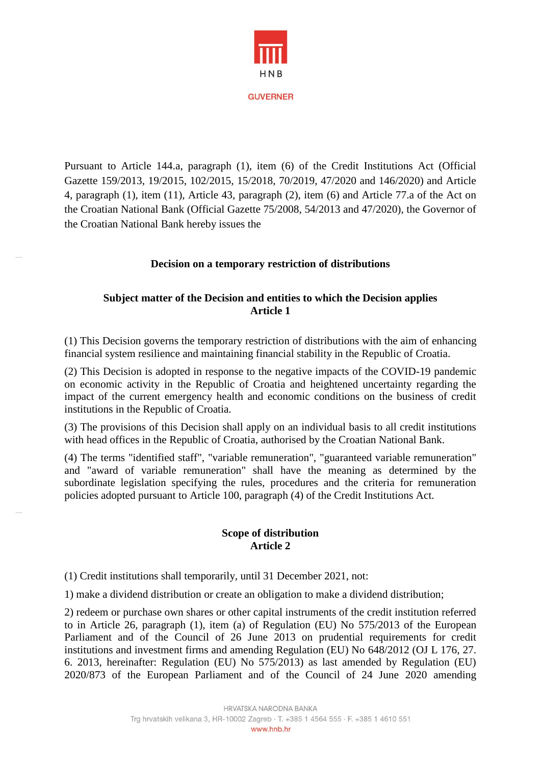

Pursuant to Article 144.a, paragraph (1), item (6) of the Credit Institutions Act (Official Gazette 159/2013, 19/2015, 102/2015, 15/2018, 70/2019, 47/2020 and 146/2020) and Article 4, paragraph (1), item (11), Article 43, paragraph (2), item (6) and Article 77.a of the Act on the Croatian National Bank (Official Gazette 75/2008, 54/2013 and 47/2020), the Governor of the Croatian National Bank hereby issues the

### **Decision on a temporary restriction of distributions**

## **Subject matter of the Decision and entities to which the Decision applies Article 1**

(1) This Decision governs the temporary restriction of distributions with the aim of enhancing financial system resilience and maintaining financial stability in the Republic of Croatia.

(2) This Decision is adopted in response to the negative impacts of the COVID-19 pandemic on economic activity in the Republic of Croatia and heightened uncertainty regarding the impact of the current emergency health and economic conditions on the business of credit institutions in the Republic of Croatia.

(3) The provisions of this Decision shall apply on an individual basis to all credit institutions with head offices in the Republic of Croatia, authorised by the Croatian National Bank.

(4) The terms "identified staff", "variable remuneration", "guaranteed variable remuneration" and "award of variable remuneration" shall have the meaning as determined by the subordinate legislation specifying the rules, procedures and the criteria for remuneration policies adopted pursuant to Article 100, paragraph (4) of the Credit Institutions Act.

### **Scope of distribution Article 2**

(1) Credit institutions shall temporarily, until 31 December 2021, not:

1) make a dividend distribution or create an obligation to make a dividend distribution;

2) redeem or purchase own shares or other capital instruments of the credit institution referred to in Article 26, paragraph (1), item (a) of Regulation (EU) No 575/2013 of the European Parliament and of the Council of 26 June 2013 on prudential requirements for credit institutions and investment firms and amending Regulation (EU) No 648/2012 (OJ L 176, 27. 6. 2013, hereinafter: Regulation (EU) No 575/2013) as last amended by Regulation (EU) 2020/873 of the European Parliament and of the Council of 24 June 2020 amending